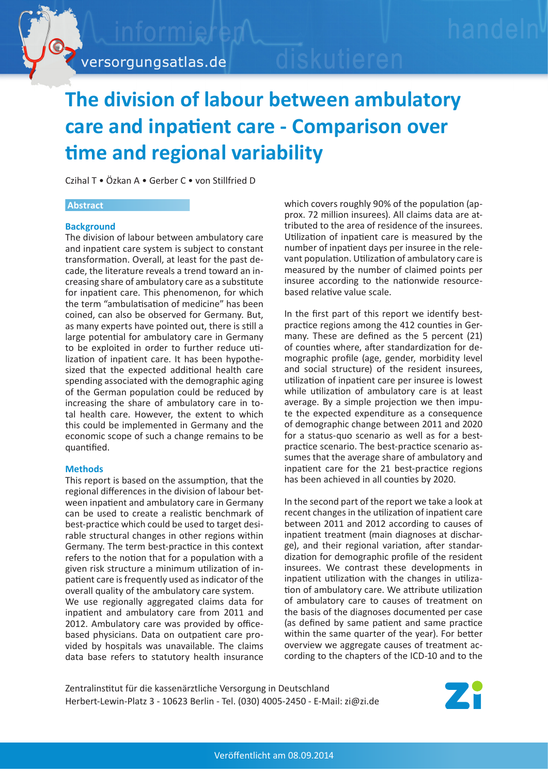

# **The division of labour between ambulatory care and inpatient care - Comparison over time and regional variability**

Czihal T • Özkan A • Gerber C • von Stillfried D

#### **Abstract**

### **Background**

The division of labour between ambulatory care and inpatient care system is subject to constant transformation. Overall, at least for the past decade, the literature reveals a trend toward an increasing share of ambulatory care as a substitute for inpatient care. This phenomenon, for which the term "ambulatisation of medicine" has been coined, can also be observed for Germany. But, as many experts have pointed out, there is still a large potential for ambulatory care in Germany to be exploited in order to further reduce utilization of inpatient care. It has been hypothesized that the expected additional health care spending associated with the demographic aging of the German population could be reduced by increasing the share of ambulatory care in total health care. However, the extent to which this could be implemented in Germany and the economic scope of such a change remains to be quantified.

#### **Methods**

This report is based on the assumption, that the regional differences in the division of labour between inpatient and ambulatory care in Germany can be used to create a realistic benchmark of best-practice which could be used to target desirable structural changes in other regions within Germany. The term best-practice in this context refers to the notion that for a population with a given risk structure a minimum utilization of inpatient care is frequently used as indicator of the overall quality of the ambulatory care system. We use regionally aggregated claims data for

inpatient and ambulatory care from 2011 and 2012. Ambulatory care was provided by officebased physicians. Data on outpatient care provided by hospitals was unavailable. The claims data base refers to statutory health insurance

which covers roughly 90% of the population (approx. 72 million insurees). All claims data are attributed to the area of residence of the insurees. Utilization of inpatient care is measured by the number of inpatient days per insuree in the relevant population. Utilization of ambulatory care is measured by the number of claimed points per insuree according to the nationwide resourcebased relative value scale.

In the first part of this report we identify bestpractice regions among the 412 counties in Germany. These are defined as the 5 percent (21) of counties where, after standardization for demographic profile (age, gender, morbidity level and social structure) of the resident insurees, utilization of inpatient care per insuree is lowest while utilization of ambulatory care is at least average. By a simple projection we then impute the expected expenditure as a consequence of demographic change between 2011 and 2020 for a status-quo scenario as well as for a bestpractice scenario. The best-practice scenario assumes that the average share of ambulatory and inpatient care for the 21 best-practice regions has been achieved in all counties by 2020.

In the second part of the report we take a look at recent changes in the utilization of inpatient care between 2011 and 2012 according to causes of inpatient treatment (main diagnoses at discharge), and their regional variation, after standardization for demographic profile of the resident insurees. We contrast these developments in inpatient utilization with the changes in utilization of ambulatory care. We attribute utilization of ambulatory care to causes of treatment on the basis of the diagnoses documented per case (as defined by same patient and same practice within the same quarter of the year). For better overview we aggregate causes of treatment according to the chapters of the ICD-10 and to the

Zentralinstitut für die kassenärztliche Versorgung in Deutschland Herbert-Lewin-Platz 3 - 10623 Berlin - Tel. (030) 4005-2450 - E-Mail: zi@zi.de